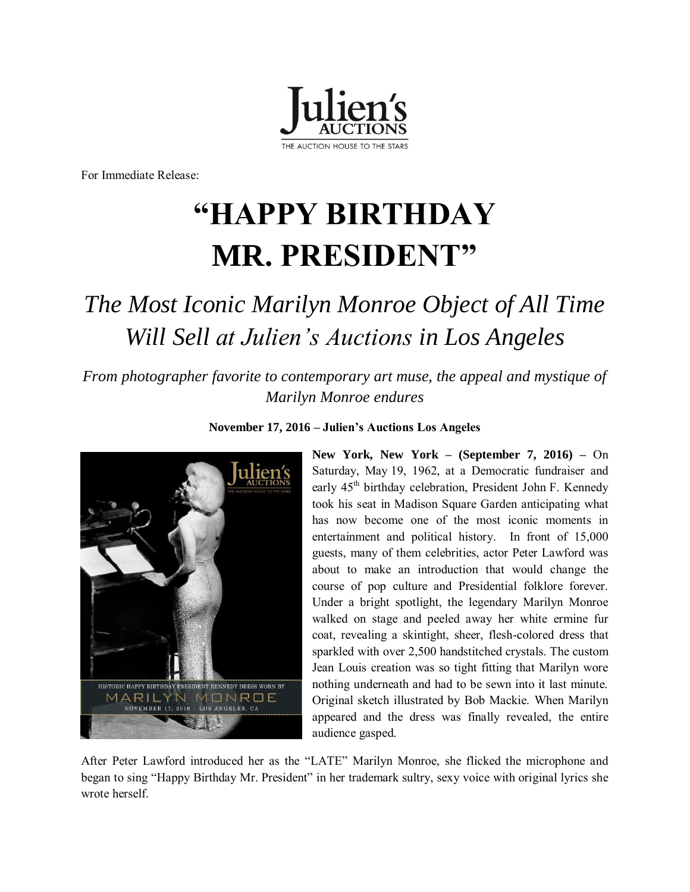

For Immediate Release:

# **"HAPPY BIRTHDAY MR. PRESIDENT"**

# *The Most Iconic Marilyn Monroe Object of All Time Will Sell at Julien's Auctions in Los Angeles*

*From photographer favorite to contemporary art muse, the appeal and mystique of Marilyn Monroe endures* 



**November 17, 2016 – Julien's Auctions Los Angeles**

**New York, New York – (September 7, 2016) –** On Saturday, May 19, 1962, at a Democratic fundraiser and early 45<sup>th</sup> birthday celebration, President John F. Kennedy took his seat in Madison Square Garden anticipating what has now become one of the most iconic moments in entertainment and political history. In front of 15,000 guests, many of them celebrities, actor Peter Lawford was about to make an introduction that would change the course of pop culture and Presidential folklore forever. Under a bright spotlight, the legendary Marilyn Monroe walked on stage and peeled away her white ermine fur coat, revealing a skintight, sheer, flesh-colored dress that sparkled with over 2,500 handstitched crystals. The custom Jean Louis creation was so tight fitting that Marilyn wore nothing underneath and had to be sewn into it last minute. Original sketch illustrated by Bob Mackie. When Marilyn appeared and the dress was finally revealed, the entire audience gasped.

After Peter Lawford introduced her as the "LATE" Marilyn Monroe, she flicked the microphone and began to sing "Happy Birthday Mr. President" in her trademark sultry, sexy voice with original lyrics she wrote herself.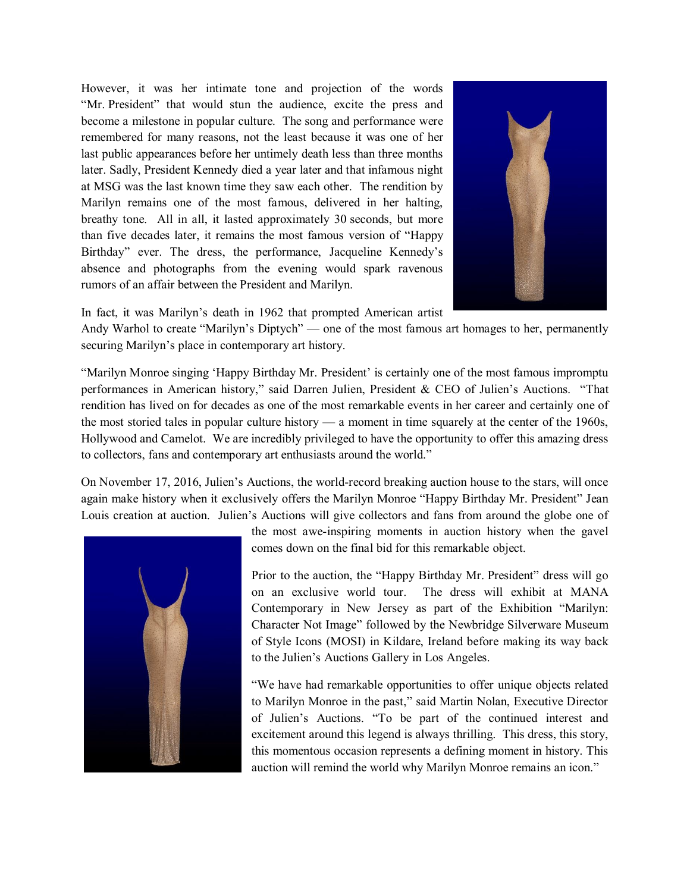However, it was her intimate tone and projection of the words "Mr. President" that would stun the audience, excite the press and become a milestone in popular culture. The song and performance were remembered for many reasons, not the least because it was one of her last public appearances before her untimely death less than three months later. Sadly, President Kennedy died a year later and that infamous night at MSG was the last known time they saw each other. The rendition by Marilyn remains one of the most famous, delivered in her halting, breathy tone. All in all, it lasted approximately 30 seconds, but more than five decades later, it remains the most famous version of "Happy Birthday" ever. The dress, the performance, Jacqueline Kennedy's absence and photographs from the evening would spark ravenous rumors of an affair between the President and Marilyn.



In fact, it was Marilyn's death in 1962 that prompted American artist

Andy Warhol to create "Marilyn's Diptych" — one of the most famous art homages to her, permanently securing Marilyn's place in contemporary art history.

"Marilyn Monroe singing 'Happy Birthday Mr. President' is certainly one of the most famous impromptu performances in American history," said Darren Julien, President & CEO of Julien's Auctions. "That rendition has lived on for decades as one of the most remarkable events in her career and certainly one of the most storied tales in popular culture history — a moment in time squarely at the center of the 1960s, Hollywood and Camelot. We are incredibly privileged to have the opportunity to offer this amazing dress to collectors, fans and contemporary art enthusiasts around the world."

On November 17, 2016, Julien's Auctions, the world-record breaking auction house to the stars, will once again make history when it exclusively offers the Marilyn Monroe "Happy Birthday Mr. President" Jean Louis creation at auction. Julien's Auctions will give collectors and fans from around the globe one of



the most awe-inspiring moments in auction history when the gavel comes down on the final bid for this remarkable object.

Prior to the auction, the "Happy Birthday Mr. President" dress will go on an exclusive world tour. The dress will exhibit at MANA Contemporary in New Jersey as part of the Exhibition "Marilyn: Character Not Image" followed by the Newbridge Silverware Museum of Style Icons (MOSI) in Kildare, Ireland before making its way back to the Julien's Auctions Gallery in Los Angeles.

"We have had remarkable opportunities to offer unique objects related to Marilyn Monroe in the past," said Martin Nolan, Executive Director of Julien's Auctions. "To be part of the continued interest and excitement around this legend is always thrilling. This dress, this story, this momentous occasion represents a defining moment in history. This auction will remind the world why Marilyn Monroe remains an icon."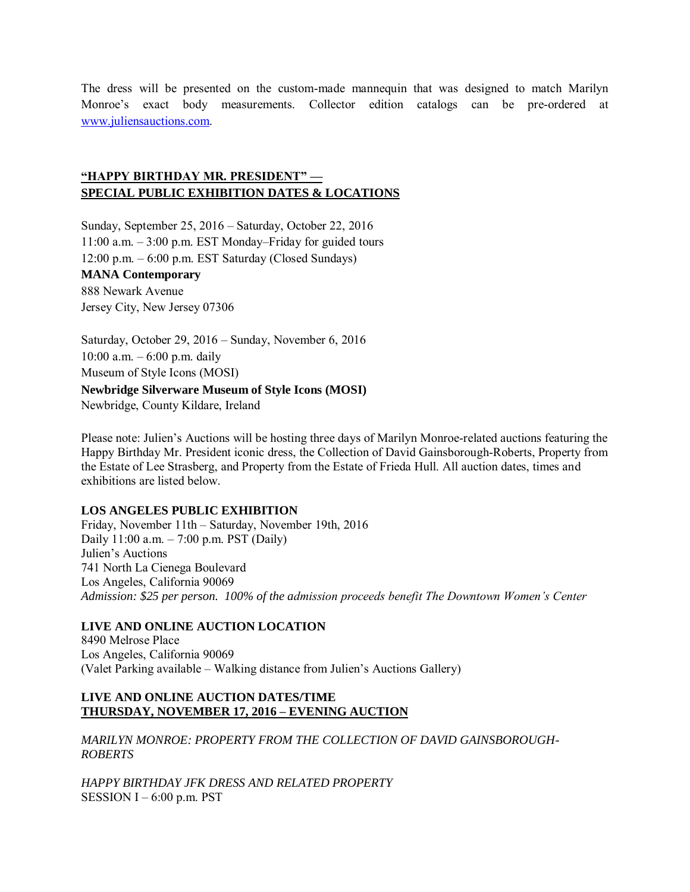The dress will be presented on the custom-made mannequin that was designed to match Marilyn Monroe's exact body measurements. Collector edition catalogs can be pre-ordered at [www.juliensauctions.com.](http://www.juliensauctions.com/) 

# **"HAPPY BIRTHDAY MR. PRESIDENT" — SPECIAL PUBLIC EXHIBITION DATES & LOCATIONS**

Sunday, September 25, 2016 – Saturday, October 22, 2016 11:00 a.m. – 3:00 p.m. EST Monday–Friday for guided tours 12:00 p.m. – 6:00 p.m. EST Saturday (Closed Sundays) **MANA Contemporary**  888 Newark Avenue Jersey City, New Jersey 07306

Saturday, October 29, 2016 – Sunday, November 6, 2016 10:00 a.m. – 6:00 p.m. daily Museum of Style Icons (MOSI) **Newbridge Silverware Museum of Style Icons (MOSI)** 

Newbridge, County Kildare, Ireland

Please note: Julien's Auctions will be hosting three days of Marilyn Monroe-related auctions featuring the Happy Birthday Mr. President iconic dress, the Collection of David Gainsborough-Roberts, Property from the Estate of Lee Strasberg, and Property from the Estate of Frieda Hull. All auction dates, times and exhibitions are listed below.

#### **LOS ANGELES PUBLIC EXHIBITION**

Friday, November 11th – Saturday, November 19th, 2016 Daily 11:00 a.m. – 7:00 p.m. PST (Daily) Julien's Auctions 741 North La Cienega Boulevard Los Angeles, California 90069 *Admission: \$25 per person. 100% of the admission proceeds benefit The Downtown Women's Center*

# **LIVE AND ONLINE AUCTION LOCATION**

8490 Melrose Place Los Angeles, California 90069 (Valet Parking available – Walking distance from Julien's Auctions Gallery)

#### **LIVE AND ONLINE AUCTION DATES/TIME THURSDAY, NOVEMBER 17, 2016 – EVENING AUCTION**

*MARILYN MONROE: PROPERTY FROM THE COLLECTION OF DAVID GAINSBOROUGH-ROBERTS* 

*HAPPY BIRTHDAY JFK DRESS AND RELATED PROPERTY*  SESSION  $I - 6:00$  p.m. PST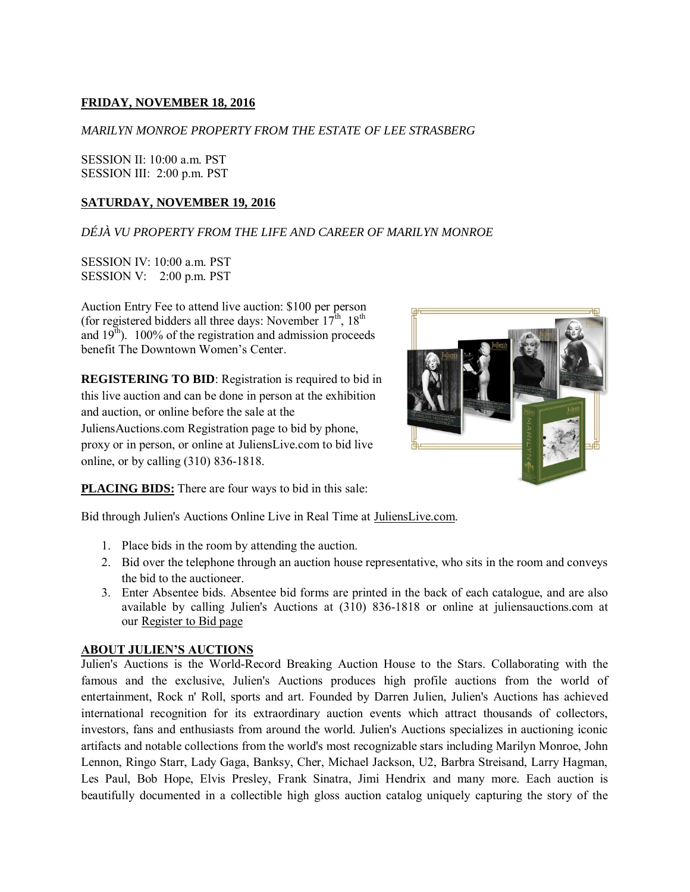# **FRIDAY, NOVEMBER 18, 2016**

#### *MARILYN MONROE PROPERTY FROM THE ESTATE OF LEE STRASBERG*

SESSION II: 10:00 a.m. PST SESSION III: 2:00 p.m. PST

#### **SATURDAY, NOVEMBER 19, 2016**

# *DÉJÀ VU PROPERTY FROM THE LIFE AND CAREER OF MARILYN MONROE*

SESSION IV: 10:00 a.m. PST SESSION V: 2:00 p.m. PST

Auction Entry Fee to attend live auction: \$100 per person (for registered bidders all three days: November  $17<sup>th</sup>$ ,  $18<sup>th</sup>$ and  $19<sup>th</sup>$ ). 100% of the registration and admission proceeds benefit The Downtown Women's Center.

**REGISTERING TO BID**: Registration is required to bid in this live auction and can be done in person at the exhibition and auction, or online before the sale at the JuliensAuctions.com [Registration page](http://www.juliensauctions.com/register.html) to bid by phone, proxy or in person, or online at [JuliensLive.com](https://www.julienslive.com/signup/) to bid live online, or by calling (310) 836-1818.



**PLACING BIDS:** There are four ways to bid in this sale:

Bid through Julien's Auctions Online Live in Real Time at [JuliensLive.com.](https://www.julienslive.com/)

- 1. Place bids in the room by attending the auction.
- 2. Bid over the telephone through an auction house representative, who sits in the room and conveys the bid to the auctioneer.
- 3. Enter Absentee bids. Absentee bid forms are printed in the back of each catalogue, and are also available by calling Julien's Auctions at (310) 836-1818 or online at juliensauctions.com at our [Register to Bid page](http://www.juliensauctions.com/register.html)

#### **ABOUT JULIEN'S AUCTIONS**

Julien's Auctions is the World-Record Breaking Auction House to the Stars. Collaborating with the famous and the exclusive, Julien's Auctions produces high profile auctions from the world of entertainment, Rock n' Roll, sports and art. Founded by Darren Julien, Julien's Auctions has achieved international recognition for its extraordinary auction events which attract thousands of collectors, investors, fans and enthusiasts from around the world. Julien's Auctions specializes in auctioning iconic artifacts and notable collections from the world's most recognizable stars including Marilyn Monroe, John Lennon, Ringo Starr, Lady Gaga, Banksy, Cher, Michael Jackson, U2, Barbra Streisand, Larry Hagman, Les Paul, Bob Hope, Elvis Presley, Frank Sinatra, Jimi Hendrix and many more. Each auction is beautifully documented in a collectible high gloss auction catalog uniquely capturing the story of the